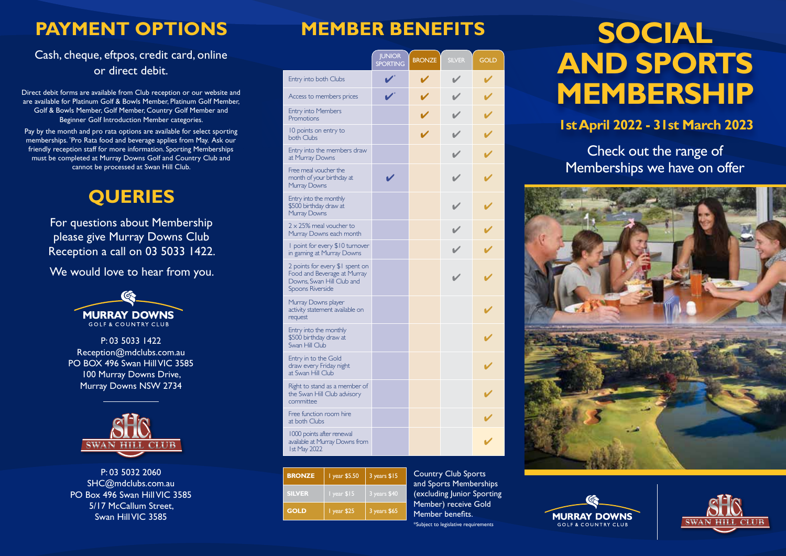## **PAYMENT OPTIONS**

#### Cash, cheque, eftpos, credit card, online or direct debit.

Direct debit forms are available from Club reception or our website and are available for Platinum Golf & Bowls Member, Platinum Golf Member, Golf & Bowls Member, Golf Member, Country Golf Member and Beginner Golf Introduction Member categories.

Pay by the month and pro rata options are available for select sporting memberships. \* Pro Rata food and beverage applies from May. Ask our friendly reception staff for more information. Sporting Memberships must be completed at Murray Downs Golf and Country Club and cannot be processed at Swan Hill Club.

## **QUERIES**

For questions about Membership please give Murray Downs Club Reception a call on 03 5033 1422.

We would love to hear from you.



P: 03 5033 1422 Reception@mdclubs.com.au PO BOX 496 Swan Hill VIC 3585 100 Murray Downs Drive, Murray Downs NSW 2734



P: 03 5032 2060 SHC@mdclubs.com.au PO Box 496 Swan Hill VIC 3585 5/17 McCallum Street, Swan Hill VIC 3585

|                                                                                                                        | <b>JUNIOR</b><br><b>SPORTING</b> | <b>BRONZE</b> | <b>SILVER</b> | <b>GOLD</b> |
|------------------------------------------------------------------------------------------------------------------------|----------------------------------|---------------|---------------|-------------|
| Entry into both Clubs                                                                                                  |                                  |               |               |             |
| Access to members prices                                                                                               |                                  |               |               |             |
| <b>Entry into Members</b><br>Promotions                                                                                |                                  |               |               |             |
| 10 points on entry to<br>both Clubs                                                                                    |                                  |               |               |             |
| Entry into the members draw<br>at Murray Downs                                                                         |                                  |               |               |             |
| Free meal voucher the<br>month of your birthday at<br>Murray Downs                                                     |                                  |               |               |             |
| Entry into the monthly<br>\$500 birthday draw at<br>Murray Downs                                                       |                                  |               |               |             |
| $2 \times 25\%$ meal voucher to<br>Murray Downs each month                                                             |                                  |               |               |             |
| I point for every \$10 turnover<br>in gaming at Murray Downs                                                           |                                  |               |               |             |
| 2 points for every \$1 spent on<br>Food and Beverage at Murray<br>Downs, Swan Hill Club and<br><b>Spoons Riverside</b> |                                  |               |               |             |
| Murray Downs player<br>activity statement available on<br>request                                                      |                                  |               |               |             |
| Entry into the monthly<br>\$500 birthday draw at<br>Swan Hill Club                                                     |                                  |               |               |             |
| Entry in to the Gold<br>draw every Friday night<br>at Swan Hill Club                                                   |                                  |               |               |             |
| Right to stand as a member of<br>the Swan Hill Club advisory<br>committee                                              |                                  |               |               |             |
| Free function room hire<br>at both Clubs                                                                               |                                  |               |               |             |
| 1000 points after renewal<br>available at Murray Downs from<br><b>Ist May 2022</b>                                     |                                  |               |               |             |

| <b>BRONZE</b> | 1 year \$5.50        | 3 years \$15 |
|---------------|----------------------|--------------|
| <b>SILVER</b> | $\sqrt{1}$ year \$15 | 3 years \$40 |
| <b>GOLD</b>   | I year \$25          | 3 years \$65 |

Country Club Sports and Sports Memberships (excluding Junior Sporting Member) receive Gold Member benefits. \*Subject to legislative requirements

# **MEMBER BENEFITS** SOCIAL **AND SPORTS MEMBERSHIP**

### **1st April 2022 - 31st March 2023**

Check out the range of Memberships we have on offer